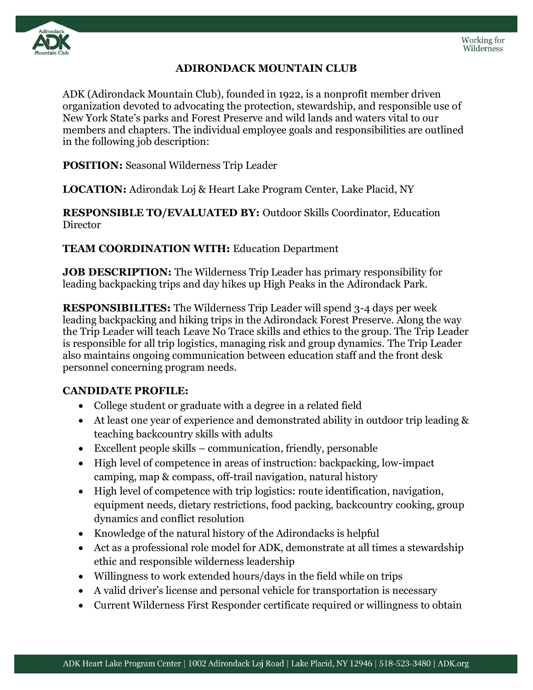

## **ADIRONDACK MOUNTAIN CLUB**

ADK (Adirondack Mountain Club), founded in 1922, is a nonprofit member driven organization devoted to advocating the protection, stewardship, and responsible use of New York State's parks and Forest Preserve and wild lands and waters vital to our members and chapters. The individual employee goals and responsibilities are outlined in the following job description:

**POSITION:** Seasonal Wilderness Trip Leader

**LOCATION:** Adirondak Loj & Heart Lake Program Center, Lake Placid, NY

**RESPONSIBLE TO/EVALUATED BY:** Outdoor Skills Coordinator, Education Director

**TEAM COORDINATION WITH:** Education Department

**JOB DESCRIPTION:** The Wilderness Trip Leader has primary responsibility for leading backpacking trips and day hikes up High Peaks in the Adirondack Park.

**RESPONSIBILITES:** The Wilderness Trip Leader will spend 3-4 days per week leading backpacking and hiking trips in the Adirondack Forest Preserve. Along the way the Trip Leader will teach Leave No Trace skills and ethics to the group. The Trip Leader is responsible for all trip logistics, managing risk and group dynamics. The Trip Leader also maintains ongoing communication between education staff and the front desk personnel concerning program needs.

## **CANDIDATE PROFILE:**

- College student or graduate with a degree in a related field
- At least one year of experience and demonstrated ability in outdoor trip leading & teaching backcountry skills with adults
- Excellent people skills communication, friendly, personable
- High level of competence in areas of instruction: backpacking, low-impact camping, map & compass, off-trail navigation, natural history
- High level of competence with trip logistics: route identification, navigation, equipment needs, dietary restrictions, food packing, backcountry cooking, group dynamics and conflict resolution
- Knowledge of the natural history of the Adirondacks is helpful
- Act as a professional role model for ADK, demonstrate at all times a stewardship ethic and responsible wilderness leadership
- Willingness to work extended hours/days in the field while on trips
- A valid driver's license and personal vehicle for transportation is necessary
- Current Wilderness First Responder certificate required or willingness to obtain